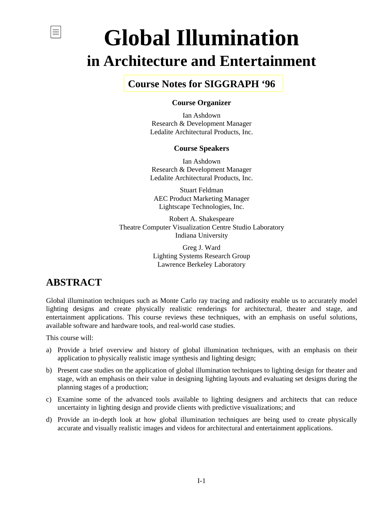# **Global Illumination in Architecture and Entertainment**

### **[Course Notes for SIGGRAPH '96](#page-1-0)**

### **Course Organizer**

Ian Ashdown Research & Development Manager Ledalite Architectural Products, Inc.

#### **Course Speakers**

Ian Ashdown Research & Development Manager Ledalite Architectural Products, Inc.

Stuart Feldman AEC Product Marketing Manager Lightscape Technologies, Inc.

Robert A. Shakespeare Theatre Computer Visualization Centre Studio Laboratory Indiana University

> Greg J. Ward Lighting Systems Research Group Lawrence Berkeley Laboratory

### **ABSTRACT**

<span id="page-0-0"></span>亖

Global illumination techniques such as Monte Carlo ray tracing and radiosity enable us to accurately model lighting designs and create physically realistic renderings for architectural, theater and stage, and entertainment applications. This course reviews these techniques, with an emphasis on useful solutions, available software and hardware tools, and real-world case studies.

This course will:

- a) Provide a brief overview and history of global illumination techniques, with an emphasis on their application to physically realistic image synthesis and lighting design;
- b) Present case studies on the application of global illumination techniques to lighting design for theater and stage, with an emphasis on their value in designing lighting layouts and evaluating set designs during the planning stages of a production;
- c) Examine some of the advanced tools available to lighting designers and architects that can reduce uncertainty in lighting design and provide clients with predictive visualizations; and
- d) Provide an in-depth look at how global illumination techniques are being used to create physically accurate and visually realistic images and videos for architectural and entertainment applications.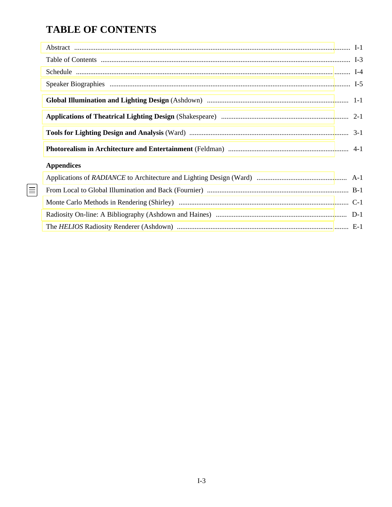## <span id="page-1-0"></span>**TABLE OF CONTENTS**

 $\boxed{\equiv}$ 

| <b>Appendices</b> |  |
|-------------------|--|
|                   |  |
|                   |  |
|                   |  |
|                   |  |
|                   |  |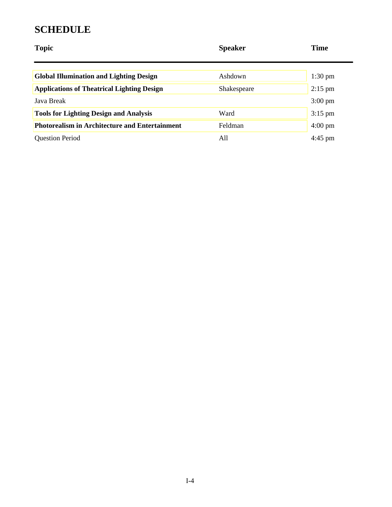### <span id="page-2-0"></span>**SCHEDULE**

| <b>Topic</b>                                          | <b>Speaker</b> | <b>Time</b>       |
|-------------------------------------------------------|----------------|-------------------|
| <b>Global Illumination and Lighting Design</b>        | Ashdown        | $1:30 \text{ pm}$ |
| <b>Applications of Theatrical Lighting Design</b>     | Shakespeare    | $2:15$ pm         |
| Java Break                                            |                | $3:00 \text{ pm}$ |
| <b>Tools for Lighting Design and Analysis</b>         | Ward           | $3:15$ pm         |
| <b>Photorealism in Architecture and Entertainment</b> | Feldman        | $4:00 \text{ pm}$ |
| <b>Question Period</b>                                | All            | $4:45$ pm         |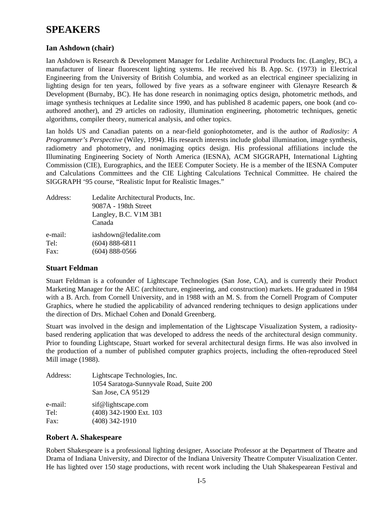### <span id="page-3-0"></span>**SPEAKERS**

#### **Ian Ashdown (chair)**

Ian Ashdown is Research & Development Manager for Ledalite Architectural Products Inc. (Langley, BC), a manufacturer of linear fluorescent lighting systems. He received his B. App. Sc. (1973) in Electrical Engineering from the University of British Columbia, and worked as an electrical engineer specializing in lighting design for ten years, followed by five years as a software engineer with Glenayre Research & Development (Burnaby, BC). He has done research in nonimaging optics design, photometric methods, and image synthesis techniques at Ledalite since 1990, and has published 8 academic papers, one book (and coauthored another), and 29 articles on radiosity, illumination engineering, photometric techniques, genetic algorithms, compiler theory, numerical analysis, and other topics.

Ian holds US and Canadian patents on a near-field goniophotometer, and is the author of *Radiosity: A Programmer's Perspective* (Wiley, 1994). His research interests include global illumination, image synthesis, radiometry and photometry, and nonimaging optics design. His professional affiliations include the Illuminating Engineering Society of North America (IESNA), ACM SIGGRAPH, International Lighting Commission (CIE), Eurographics, and the IEEE Computer Society. He is a member of the IESNA Computer and Calculations Committees and the CIE Lighting Calculations Technical Committee. He chaired the SIGGRAPH '95 course, "Realistic Input for Realistic Images."

| Address: | Ledalite Architectural Products, Inc.<br>9087A - 198th Street<br>Langley, B.C. V1M 3B1<br>Canada |
|----------|--------------------------------------------------------------------------------------------------|
| e-mail:  | iashdown@ledalite.com                                                                            |
| Tel:     | $(604)$ 888-6811                                                                                 |
| Fax:     | $(604)$ 888-0566                                                                                 |

#### **Stuart Feldman**

Stuart Feldman is a cofounder of Lightscape Technologies (San Jose, CA), and is currently their Product Marketing Manager for the AEC (architecture, engineering, and construction) markets. He graduated in 1984 with a B. Arch. from Cornell University, and in 1988 with an M. S. from the Cornell Program of Computer Graphics, where he studied the applicability of advanced rendering techniques to design applications under the direction of Drs. Michael Cohen and Donald Greenberg.

Stuart was involved in the design and implementation of the Lightscape Visualization System, a radiositybased rendering application that was developed to address the needs of the architectural design community. Prior to founding Lightscape, Stuart worked for several architectural design firms. He was also involved in the production of a number of published computer graphics projects, including the often-reproduced Steel Mill image (1988).

| Address: | Lightscape Technologies, Inc.<br>1054 Saratoga-Sunnyvale Road, Suite 200<br>San Jose, CA 95129 |
|----------|------------------------------------------------------------------------------------------------|
| e-mail:  | sif@lightscape.com                                                                             |
| Tel:     | (408) 342-1900 Ext. 103                                                                        |
| Fax:     | $(408)$ 342-1910                                                                               |

#### **Robert A. Shakespeare**

Robert Shakespeare is a professional lighting designer, Associate Professor at the Department of Theatre and Drama of Indiana University, and Director of the Indiana University Theatre Computer Visualization Center. He has lighted over 150 stage productions, with recent work including the Utah Shakespearean Festival and